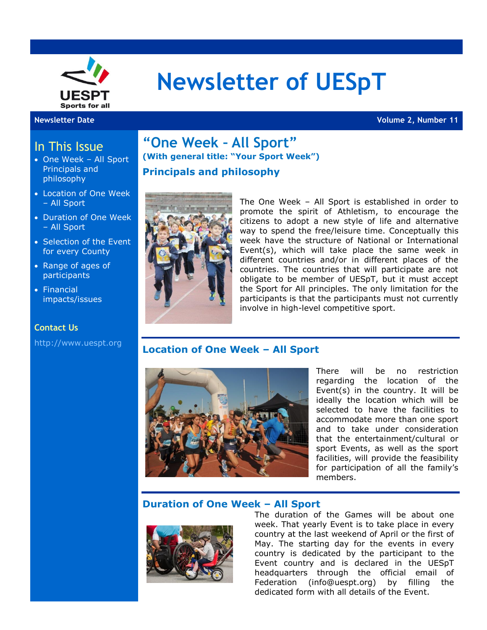

# **Newsletter of UESpT**

**Newsletter Date Volume 2, Number 11**

# In This Issue

- One Week All Sport Principals and philosophy
- Location of One Week – All Sport
- Duration of One Week – All Sport
- Selection of the Event for every County
- Range of ages of **participants**
- Financial impacts/issues

#### **Contact Us**

[http://www.uespt.org](http://www.uespt.org/)

# **"One Week – All Sport" (With general title: "Your Sport Week") Principals and philosophy**



The One Week – All Sport is established in order to promote the spirit of Athletism, to encourage the citizens to adopt a new style of life and alternative way to spend the free/leisure time. Conceptually this week have the structure of National or International Event(s), which will take place the same week in different countries and/or in different places of the countries. The countries that will participate are not obligate to be member of UESpT, but it must accept the Sport for All principles. The only limitation for the participants is that the participants must not currently involve in high-level competitive sport.

#### **Location of One Week – All Sport**



There will be no restriction regarding the location of the Event(s) in the country. It will be ideally the location which will be selected to have the facilities to accommodate more than one sport and to take under consideration that the entertainment/cultural or sport Events, as well as the sport facilities, will provide the feasibility for participation of all the family's members.

#### **Duration of One Week – All Sport**



The duration of the Games will be about one week. That yearly Event is to take place in every country at the last weekend of April or the first of May. The starting day for the events in every country is dedicated by the participant to the Event country and is declared in the UESpT headquarters through the official email of Federation (info@uespt.org) by filling the dedicated form with all details of the Event.